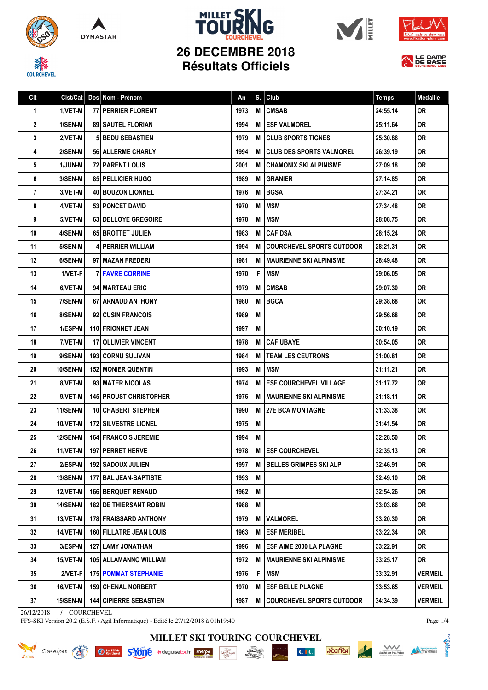

**COURCHEVEL** 









## **26 DECEMBRE 2018 Résultats Officiels**



| Clt |                 | Cist/Cat   Dos   Nom - Prénom   | An   | S. | Club                             | <b>Temps</b> | Médaille       |
|-----|-----------------|---------------------------------|------|----|----------------------------------|--------------|----------------|
| 1   | 1/VET-M         | 77 PERRIER FLORENT              | 1973 | M  | <b>CMSAB</b>                     | 24:55.14     | <b>OR</b>      |
| 2   | 1/SEN-M         | <b>89   SAUTEL FLORIAN</b>      | 1994 | М  | <b>ESF VALMOREL</b>              | 25:11.64     | <b>OR</b>      |
| 3   | 2/VET-M         | <b>5 BEDU SEBASTIEN</b>         | 1979 | M  | <b>CLUB SPORTS TIGNES</b>        | 25:30.86     | <b>OR</b>      |
| 4   | 2/SEN-M         | 56   ALLERME CHARLY             | 1994 | М  | <b>CLUB DES SPORTS VALMOREL</b>  | 26:39.19     | 0R             |
| 5   | 1/JUN-M         | 72 PARENT LOUIS                 | 2001 | M  | <b>CHAMONIX SKI ALPINISME</b>    | 27:09.18     | <b>OR</b>      |
| 6   | 3/SEN-M         | 85   PELLICIER HUGO             | 1989 | M  | <b>GRANIER</b>                   | 27:14.85     | <b>OR</b>      |
| 7   | 3/VET-M         | 40 BOUZON LIONNEL               | 1976 | M  | <b>BGSA</b>                      | 27:34.21     | <b>OR</b>      |
| 8   | 4/VET-M         | 53 PONCET DAVID                 | 1970 | M  | <b>MSM</b>                       | 27:34.48     | <b>OR</b>      |
| 9   | 5/VET-M         | <b>63 I DELLOYE GREGOIRE</b>    | 1978 | M  | <b>MSM</b>                       | 28:08.75     | 0R             |
| 10  | 4/SEN-M         | 65 BROTTET JULIEN               | 1983 | M  | <b>CAF DSA</b>                   | 28:15.24     | <b>OR</b>      |
| 11  | 5/SEN-M         | <b>4 PERRIER WILLIAM</b>        | 1994 | М  | <b>COURCHEVEL SPORTS OUTDOOR</b> | 28:21.31     | <b>OR</b>      |
| 12  | 6/SEN-M         | 97 MAZAN FREDERI                | 1981 | M  | <b>MAURIENNE SKI ALPINISME</b>   | 28:49.48     | <b>OR</b>      |
| 13  | 1/VET-F         | <b>7 FAVRE CORRINE</b>          | 1970 | F  | <b>MSM</b>                       | 29:06.05     | 0R             |
| 14  | 6/VET-M         | 94   MARTEAU ERIC               | 1979 | M  | <b>CMSAB</b>                     | 29:07.30     | <b>OR</b>      |
| 15  | 7/SEN-M         | 67 ARNAUD ANTHONY               | 1980 | M  | <b>BGCA</b>                      | 29:38.68     | <b>OR</b>      |
| 16  | 8/SEN-M         | 92 CUSIN FRANCOIS               | 1989 | M  |                                  | 29:56.68     | <b>OR</b>      |
| 17  | 1/ESP-M         | <b>110 FRIONNET JEAN</b>        | 1997 | M  |                                  | 30:10.19     | <b>OR</b>      |
| 18  | 7/VET-M         | <b>17 OLLIVIER VINCENT</b>      | 1978 | M  | <b>CAF UBAYE</b>                 | 30:54.05     | <b>OR</b>      |
| 19  | 9/SEN-M         | <b>193   CORNU SULIVAN</b>      | 1984 | M  | <b>TEAM LES CEUTRONS</b>         | 31:00.81     | <b>OR</b>      |
| 20  | 10/SEN-M        | <b>152 MONIER QUENTIN</b>       | 1993 | M  | <b>MSM</b>                       | 31:11.21     | <b>OR</b>      |
| 21  | 8/VET-M         | 93 MATER NICOLAS                | 1974 | M  | <b>ESF COURCHEVEL VILLAGE</b>    | 31:17.72     | <b>OR</b>      |
| 22  | 9/VET-M         | <b>145   PROUST CHRISTOPHER</b> | 1976 | M  | <b>MAURIENNE SKI ALPINISME</b>   | 31:18.11     | <b>OR</b>      |
| 23  | <b>11/SEN-M</b> | 10 CHABERT STEPHEN              | 1990 | М  | <b>27E BCA MONTAGNE</b>          | 31:33.38     | <b>OR</b>      |
| 24  | 10/VET-M        | <b>172 SILVESTRE LIONEL</b>     | 1975 | M  |                                  | 31:41.54     | <b>OR</b>      |
| 25  | <b>12/SEN-M</b> | <b>164 FRANCOIS JEREMIE</b>     | 1994 | M  |                                  | 32:28.50     | 0R             |
| 26  | 11/VET-M        | <b>197   PERRET HERVE</b>       | 1978 | M  | <b>ESF COURCHEVEL</b>            | 32:35.13     | 0R             |
| 27  | $2/ESP-M$       | 192 SADOUX JULIEN               | 1997 | M  | <b>BELLES GRIMPES SKI ALP</b>    | 32:46.91     | <b>OR</b>      |
| 28  | 13/SEN-M        | 177 BAL JEAN-BAPTISTE           | 1993 | M  |                                  | 32:49.10     | 0R             |
| 29  | 12/VET-M        | <b>166 BERQUET RENAUD</b>       | 1962 | M  |                                  | 32:54.26     | 0R             |
| 30  | 14/SEN-M        | <b>182 I DE THIERSANT ROBIN</b> | 1988 | М  |                                  | 33:03.66     | OR             |
| 31  | $13/VET-M$      | 178 FRAISSARD ANTHONY           | 1979 | M  | <b>VALMOREL</b>                  | 33:20.30     | 0R             |
| 32  | 14/VET-M        | <b>160 FILLATRE JEAN LOUIS</b>  | 1963 | м  | <b>ESF MERIBEL</b>               | 33:22.34     | 0R             |
| 33  | $3/ESP-M$       | <b>127 LAMY JONATHAN</b>        | 1996 | M  | <b>ESF AIME 2000 LA PLAGNE</b>   | 33:22.91     | <b>OR</b>      |
| 34  | 15/VET-M        | 105   ALLAMANNO WILLIAM         | 1972 | M  | <b>MAURIENNE SKI ALPINISME</b>   | 33:25.17     | 0R             |
| 35  | $2/VET-F$       | <b>175   POMMAT STEPHANIE</b>   | 1976 | F  | MSM                              | 33:32.91     | VERMEIL        |
| 36  | 16/VET-M        | <b>159 CHENAL NORBERT</b>       | 1970 | M  | <b>ESF BELLE PLAGNE</b>          | 33:53.65     | <b>VERMEIL</b> |
| 37  | 15/SEN-M        | <b>144 CIPIERRE SEBASTIEN</b>   | 1987 | M  | <b>COURCHEVEL SPORTS OUTDOOR</b> | 34:34.39     | VERMEIL        |

26/12/2018 / COURCHEVEL

FFS-SKI Version 20.2 (E.S.F. / Agil Informatique) - Edité le 27/12/2018 à 01h19:40

Page 1/4

**MILLET SKI TOURING COURCHEVEL**





 $CI C$ 



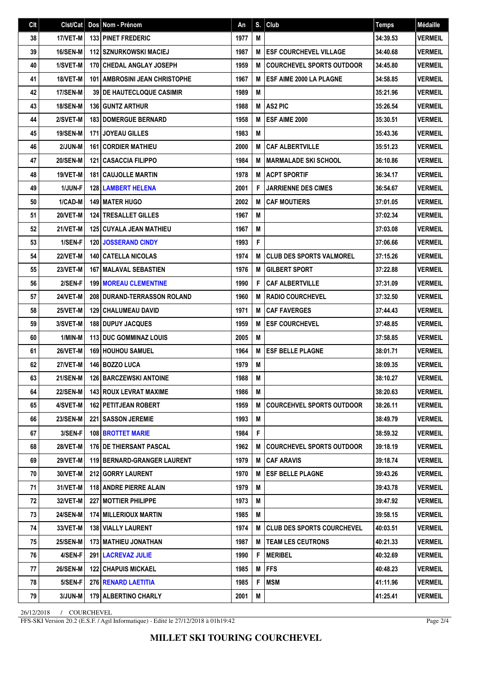| Clt | Clst/Cat        | Dos | Nom - Prénom                           | An   | S. | Club                              | <b>Temps</b> | Médaille       |
|-----|-----------------|-----|----------------------------------------|------|----|-----------------------------------|--------------|----------------|
| 38  | 17/VET-M        |     | <b>133 PINET FREDERIC</b>              | 1977 | M  |                                   | 34:39.53     | <b>VERMEIL</b> |
| 39  | 16/SEN-M        |     | <b>112 SZNURKOWSKI MACIEJ</b>          | 1987 | M  | <b>ESF COURCHEVEL VILLAGE</b>     | 34:40.68     | <b>VERMEIL</b> |
| 40  | 1/SVET-M        |     | 170 CHEDAL ANGLAY JOSEPH               | 1959 | M  | <b>COURCHEVEL SPORTS OUTDOOR</b>  | 34:45.80     | <b>VERMEIL</b> |
| 41  | 18/VET-M        |     | <b>101   AMBROSINI JEAN CHRISTOPHE</b> | 1967 | M  | ESF AIME 2000 LA PLAGNE           | 34:58.85     | <b>VERMEIL</b> |
| 42  | 17/SEN-M        |     | <b>39 DE HAUTECLOQUE CASIMIR</b>       | 1989 | M  |                                   | 35:21.96     | <b>VERMEIL</b> |
| 43  | <b>18/SEN-M</b> |     | <b>136 GUNTZ ARTHUR</b>                | 1988 | M  | <b>AS2 PIC</b>                    | 35:26.54     | <b>VERMEIL</b> |
| 44  | 2/SVET-M        |     | <b>183 DOMERGUE BERNARD</b>            | 1958 | M  | ESF AIME 2000                     | 35:30.51     | <b>VERMEIL</b> |
| 45  | <b>19/SEN-M</b> |     | 171 JOYEAU GILLES                      | 1983 | M  |                                   | 35:43.36     | <b>VERMEIL</b> |
| 46  | 2/JUN-M         |     | <b>161 CORDIER MATHIEU</b>             | 2000 | M  | <b>CAF ALBERTVILLE</b>            | 35:51.23     | <b>VERMEIL</b> |
| 47  | <b>20/SEN-M</b> |     | <b>121 CASACCIA FILIPPO</b>            | 1984 | M  | <b>MARMALADE SKI SCHOOL</b>       | 36:10.86     | <b>VERMEIL</b> |
| 48  | 19/VET-M        |     | <b>181 CAUJOLLE MARTIN</b>             | 1978 | M  | <b>ACPT SPORTIF</b>               | 36:34.17     | <b>VERMEIL</b> |
| 49  | 1/JUN-F         |     | <b>128 LAMBERT HELENA</b>              | 2001 | F  | <b>JARRIENNE DES CIMES</b>        | 36:54.67     | <b>VERMEIL</b> |
| 50  | 1/CAD-M         |     | <b>149 MATER HUGO</b>                  | 2002 | M  | <b>CAF MOUTIERS</b>               | 37:01.05     | <b>VERMEIL</b> |
| 51  | 20/VET-M        |     | <b>124 TRESALLET GILLES</b>            | 1967 | M  |                                   | 37:02.34     | <b>VERMEIL</b> |
| 52  | 21/VET-M        |     | <b>125 CUYALA JEAN MATHIEU</b>         | 1967 | M  |                                   | 37:03.08     | <b>VERMEIL</b> |
| 53  | 1/SEN-F         |     | <b>120 JOSSERAND CINDY</b>             | 1993 | F  |                                   | 37:06.66     | <b>VERMEIL</b> |
| 54  | <b>22/VET-M</b> |     | <b>140 CATELLA NICOLAS</b>             | 1974 | M  | <b>CLUB DES SPORTS VALMOREL</b>   | 37:15.26     | <b>VERMEIL</b> |
| 55  | 23/VET-M        |     | <b>167 MALAVAL SEBASTIEN</b>           | 1976 | M  | <b>GILBERT SPORT</b>              | 37:22.88     | <b>VERMEIL</b> |
| 56  | 2/SEN-F         |     | <b>199   MOREAU CLEMENTINE</b>         | 1990 | F  | <b>CAF ALBERTVILLE</b>            | 37:31.09     | <b>VERMEIL</b> |
| 57  | 24/VET-M        |     | <b>208 DURAND-TERRASSON ROLAND</b>     | 1960 | M  | <b>RADIO COURCHEVEL</b>           | 37:32.50     | <b>VERMEIL</b> |
| 58  | 25/VET-M        |     | 129 CHALUMEAU DAVID                    | 1971 | M  | <b>CAF FAVERGES</b>               | 37:44.43     | <b>VERMEIL</b> |
| 59  | 3/SVET-M        |     | 188 DUPUY JACQUES                      | 1959 | M  | <b>ESF COURCHEVEL</b>             | 37:48.85     | <b>VERMEIL</b> |
| 60  | 1/MIN-M         |     | <b>113 DUC GOMMINAZ LOUIS</b>          | 2005 | M  |                                   | 37:58.85     | <b>VERMEIL</b> |
| 61  | <b>26/VET-M</b> |     | <b>169 HOUHOU SAMUEL</b>               | 1964 | M  | <b>ESF BELLE PLAGNE</b>           | 38:01.71     | <b>VERMEIL</b> |
| 62  | 27/VET-M        |     | 146 BOZZO LUCA                         | 1979 | M  |                                   | 38:09.35     | <b>VERMEIL</b> |
| 63  | <b>21/SEN-M</b> |     | <b>126 BARCZEWSKI ANTOINE</b>          | 1988 | M  |                                   | 38:10.27     | <b>VERMEIL</b> |
| 64  | 22/SEN-M        |     | 143 ROUX LEVRAT MAXIME                 | 1986 | M  |                                   | 38:20.63     | <b>VERMEIL</b> |
| 65  | 4/SVET-M        |     | <b>162   PETITJEAN ROBERT</b>          | 1959 | М  | <b>COURCEHVEL SPORTS OUTDOOR</b>  | 38:26.11     | <b>VERMEIL</b> |
| 66  | <b>23/SEN-M</b> |     | <b>221   SASSON JEREMIE</b>            | 1993 | M  |                                   | 38:49.79     | <b>VERMEIL</b> |
| 67  | 3/SEN-F         |     | <b>108 BROTTET MARIE</b>               | 1984 | F. |                                   | 38:59.32     | <b>VERMEIL</b> |
| 68  | 28/VET-M        |     | <b>176 DE THIERSANT PASCAL</b>         | 1962 | M  | <b>COURCHEVEL SPORTS OUTDOOR</b>  | 39:18.19     | <b>VERMEIL</b> |
| 69  | 29/VET-M        |     | <b>119 BERNARD-GRANGER LAURENT</b>     | 1979 | M  | <b>CAF ARAVIS</b>                 | 39:18.74     | <b>VERMEIL</b> |
| 70  | 30/VET-M        |     | 212 GORRY LAURENT                      | 1970 | M  | <b>ESF BELLE PLAGNE</b>           | 39:43.26     | <b>VERMEIL</b> |
| 71  | 31/VET-M        |     | 118 ANDRE PIERRE ALAIN                 | 1979 | M  |                                   | 39:43.78     | <b>VERMEIL</b> |
| 72  | 32/VET-M        |     | 227 MOTTIER PHILIPPE                   | 1973 | M  |                                   | 39:47.92     | <b>VERMEIL</b> |
| 73  | <b>24/SEN-M</b> |     | <b>174   MILLERIOUX MARTIN</b>         | 1985 | М  |                                   | 39:58.15     | <b>VERMEIL</b> |
| 74  | 33/VET-M        |     | <b>138   VIALLY LAURENT</b>            | 1974 | M  | <b>CLUB DES SPORTS COURCHEVEL</b> | 40:03.51     | <b>VERMEIL</b> |
| 75  | <b>25/SEN-M</b> |     | 173   MATHIEU JONATHAN                 | 1987 | M  | <b>TEAM LES CEUTRONS</b>          | 40:21.33     | <b>VERMEIL</b> |
| 76  | 4/SEN-F         |     | 291   LACREVAZ JULIE                   | 1990 | F  | <b>MERIBEL</b>                    | 40:32.69     | <b>VERMEIL</b> |
| 77  | <b>26/SEN-M</b> |     | <b>122 CHAPUIS MICKAEL</b>             | 1985 | M  | <b>IFFS</b>                       | 40:48.23     | <b>VERMEIL</b> |
| 78  | 5/SEN-F         |     | 276 RENARD LAETITIA                    | 1985 | F  | <b>MSM</b>                        | 41:11.96     | <b>VERMEIL</b> |
| 79  | 3/JUN-M         |     | 179 ALBERTINO CHARLY                   | 2001 | M  |                                   | 41:25.41     | <b>VERMEIL</b> |

26/12/2018 / COURCHEVEL

FFS-SKI Version 20.2 (E.S.F. / Agil Informatique) - Edité le 27/12/2018 à 01h19:42

Page 2/4

**MILLET SKI TOURING COURCHEVEL**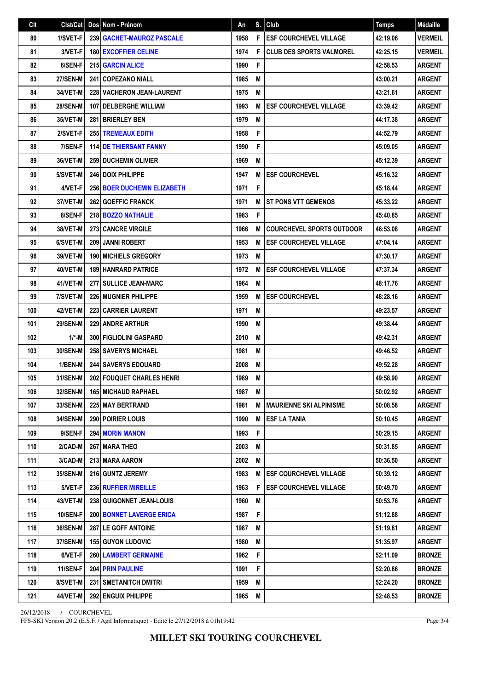| Clt | $Clst/Cat$ Dos  | Nom - Prénom                       | Αn   | S.I | <b>Club</b>                      | <b>Temps</b> | Médaille       |
|-----|-----------------|------------------------------------|------|-----|----------------------------------|--------------|----------------|
| 80  | 1/SVET-F        | <b>239   GACHET-MAUROZ PASCALE</b> | 1958 | F   | <b>ESF COURCHEVEL VILLAGE</b>    | 42:19.06     | <b>VERMEIL</b> |
| 81  | 3/VET-F         | <b>180 EXCOFFIER CELINE</b>        | 1974 | F   | <b>CLUB DES SPORTS VALMOREL</b>  | 42:25.15     | <b>VERMEIL</b> |
| 82  | 6/SEN-F         | <b>215 GARCIN ALICE</b>            | 1990 | F   |                                  | 42:58.53     | <b>ARGENT</b>  |
| 83  | <b>27/SEN-M</b> | <b>241 COPEZANO NIALL</b>          | 1985 | M   |                                  | 43:00.21     | <b>ARGENT</b>  |
| 84  | 34/VET-M        | 228 VACHERON JEAN-LAURENT          | 1975 | M   |                                  | 43:21.61     | <b>ARGENT</b>  |
| 85  | <b>28/SEN-M</b> | <b>107   DELBERGHE WILLIAM</b>     | 1993 | M   | <b>ESF COURCHEVEL VILLAGE</b>    | 43:39.42     | <b>ARGENT</b>  |
| 86  | 35/VET-M        | <b>281 BRIERLEY BEN</b>            | 1979 | M   |                                  | 44:17.38     | <b>ARGENT</b>  |
| 87  | 2/SVET-F        | <b>255 TREMEAUX EDITH</b>          | 1958 | F   |                                  | 44:52.79     | <b>ARGENT</b>  |
| 88  | 7/SEN-F         | <b>114 DE THIERSANT FANNY</b>      | 1990 | F   |                                  | 45:09.05     | <b>ARGENT</b>  |
| 89  | 36/VET-M        | <b>259 DUCHEMIN OLIVIER</b>        | 1969 | M   |                                  | 45:12.39     | <b>ARGENT</b>  |
| 90  | 5/SVET-M        | <b>246 DOIX PHILIPPE</b>           | 1947 | M   | <b>ESF COURCHEVEL</b>            | 45:16.32     | <b>ARGENT</b>  |
| 91  | 4/VET-F         | 256 BOER DUCHEMIN ELIZABETH        | 1971 | F   |                                  | 45:18.44     | <b>ARGENT</b>  |
| 92  | 37/VET-M        | <b>262   GOEFFIC FRANCK</b>        | 1971 | M   | <b>ST PONS VTT GEMENOS</b>       | 45:33.22     | <b>ARGENT</b>  |
| 93  | 8/SEN-F         | 218 BOZZO NATHALIE                 | 1983 | F   |                                  | 45:40.85     | <b>ARGENT</b>  |
| 94  | 38/VET-M        | <b>273 CANCRE VIRGILE</b>          | 1966 | M   | <b>COURCHEVEL SPORTS OUTDOOR</b> | 46:53.08     | <b>ARGENT</b>  |
| 95  | 6/SVET-M        | 209 JANNI ROBERT                   | 1953 | M   | <b>ESF COURCHEVEL VILLAGE</b>    | 47:04.14     | <b>ARGENT</b>  |
| 96  | 39/VET-M        | <b>190 MICHIELS GREGORY</b>        | 1973 | M   |                                  | 47:30.17     | <b>ARGENT</b>  |
| 97  | 40/VET-M        | <b>189 HANRARD PATRICE</b>         | 1972 | M   | <b>ESF COURCHEVEL VILLAGE</b>    | 47:37.34     | <b>ARGENT</b>  |
| 98  | 41/VET-M        | <b>277   SULLICE JEAN-MARC</b>     | 1964 | M   |                                  | 48:17.76     | <b>ARGENT</b>  |
| 99  | 7/SVET-M        | <b>226 MUGNIER PHILIPPE</b>        | 1959 | M   | <b>ESF COURCHEVEL</b>            | 48:28.16     | <b>ARGENT</b>  |
| 100 | 42/VET-M        | <b>223 CARRIER LAURENT</b>         | 1971 | M   |                                  | 49:23.57     | <b>ARGENT</b>  |
| 101 | <b>29/SEN-M</b> | <b>229 ANDRE ARTHUR</b>            | 1990 | M   |                                  | 49:38.44     | <b>ARGENT</b>  |
| 102 | $1/*-M$         | <b>300 FIGLIOLINI GASPARD</b>      | 2010 | M   |                                  | 49:42.31     | <b>ARGENT</b>  |
| 103 | 30/SEN-M        | <b>258 SAVERYS MICHAEL</b>         | 1981 | M   |                                  | 49:46.52     | <b>ARGENT</b>  |
| 104 | 1/BEN-M         | 244 SAVERYS EDOUARD                | 2008 | M   |                                  | 49:52.28     | <b>ARGENT</b>  |
| 105 | 31/SEN-M        | <b>202 FOUQUET CHARLES HENRI</b>   | 1989 | M   |                                  | 49:58.90     | <b>ARGENT</b>  |
| 106 | 32/SEN-M        | 165 MICHAUD RAPHAEL                | 1987 | M   |                                  | 50:02.92     | <b>ARGENT</b>  |
| 107 | 33/SEN-M        | 225 MAY BERTRAND                   | 1981 | M   | <b>MAURIENNE SKI ALPINISME</b>   | 50:08.58     | <b>ARGENT</b>  |
| 108 | 34/SEN-M        | <b>290 POIRIER LOUIS</b>           | 1990 | M   | <b>ESF LA TANIA</b>              | 50:10.45     | <b>ARGENT</b>  |
| 109 | 9/SEN-F         | <b>294 MORIN MANON</b>             | 1993 | F   |                                  | 50:29.15     | <b>ARGENT</b>  |
| 110 | 2/CAD-M         | 267   MARA THEO                    | 2003 | Μ   |                                  | 50:31.85     | <b>ARGENT</b>  |
| 111 | 3/CAD-M         | 213 MARA AARON                     | 2002 | Μ   |                                  | 50:36.50     | <b>ARGENT</b>  |
| 112 | 35/SEN-M        | 216 GUNTZ JEREMY                   | 1983 | M   | <b>ESF COURCHEVEL VILLAGE</b>    | 50:39.12     | <b>ARGENT</b>  |
| 113 | 5/VET-F         | 236 RUFFIER MIREILLE               | 1963 | F   | <b>ESF COURCHEVEL VILLAGE</b>    | 50:49.70     | <b>ARGENT</b>  |
| 114 | 43/VET-M        | 238 GUIGONNET JEAN-LOUIS           | 1960 | M   |                                  | 50:53.76     | <b>ARGENT</b>  |
| 115 | <b>10/SEN-F</b> | <b>200 BONNET LAVERGE ERICA</b>    | 1987 | F   |                                  | 51:12.88     | <b>ARGENT</b>  |
| 116 | 36/SEN-M        | <b>287 LE GOFF ANTOINE</b>         | 1987 | M   |                                  | 51:19.81     | <b>ARGENT</b>  |
| 117 | <b>37/SEN-M</b> | 155 GUYON LUDOVIC                  | 1980 | M   |                                  | 51:35.97     | ARGENT         |
| 118 | 6/VET-F         | <b>260 LAMBERT GERMAINE</b>        | 1962 | F   |                                  | 52:11.09     | <b>BRONZE</b>  |
| 119 | 11/SEN-F        | <b>204 PRIN PAULINE</b>            | 1991 | F   |                                  | 52:20.86     | <b>BRONZE</b>  |
| 120 | 8/SVET-M        | <b>231   SMETANITCH DMITRI</b>     | 1959 | M   |                                  | 52:24.20     | <b>BRONZE</b>  |
| 121 | 44/VET-M        | <b>292 ENGUIX PHILIPPE</b>         | 1965 | M   |                                  | 52:48.53     | <b>BRONZE</b>  |

26/12/2018 / COURCHEVEL

FFS-SKI Version 20.2 (E.S.F. / Agil Informatique) - Edité le 27/12/2018 à 01h19:42

Page 3/4

**MILLET SKI TOURING COURCHEVEL**